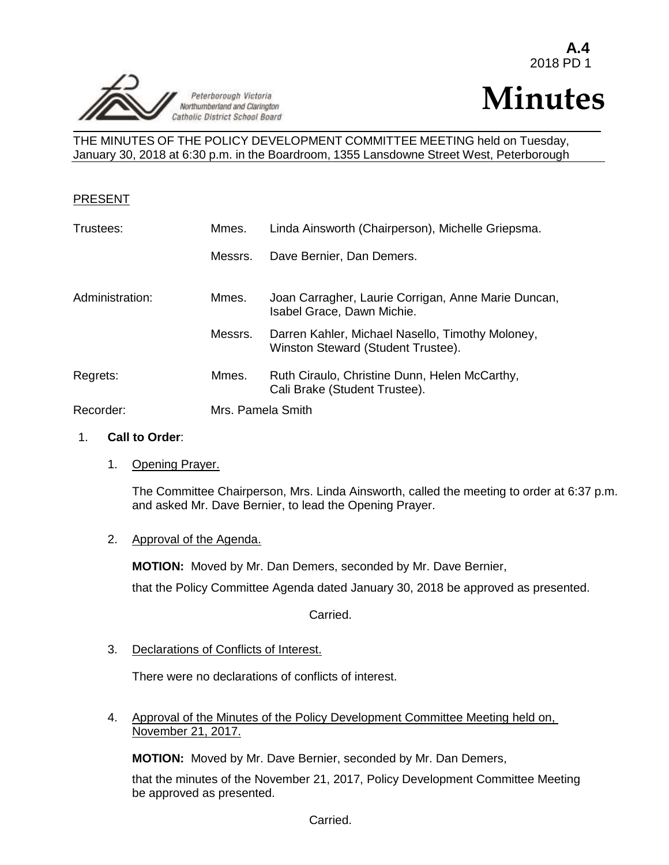

# **Minutes**

THE MINUTES OF THE POLICY DEVELOPMENT COMMITTEE MEETING held on Tuesday, January 30, 2018 at 6:30 p.m. in the Boardroom, 1355 Lansdowne Street West, Peterborough

# PRESENT

| Trustees:       | Mmes.   | Linda Ainsworth (Chairperson), Michelle Griepsma.                                      |  |
|-----------------|---------|----------------------------------------------------------------------------------------|--|
|                 | Messrs. | Dave Bernier, Dan Demers.                                                              |  |
| Administration: | Mmes.   | Joan Carragher, Laurie Corrigan, Anne Marie Duncan,<br>Isabel Grace, Dawn Michie.      |  |
|                 | Messrs. | Darren Kahler, Michael Nasello, Timothy Moloney,<br>Winston Steward (Student Trustee). |  |
| Regrets:        | Mmes.   | Ruth Ciraulo, Christine Dunn, Helen McCarthy,<br>Cali Brake (Student Trustee).         |  |
| Recorder:       |         | Mrs. Pamela Smith                                                                      |  |

# 1. **Call to Order**:

1. Opening Prayer.

The Committee Chairperson, Mrs. Linda Ainsworth, called the meeting to order at 6:37 p.m. and asked Mr. Dave Bernier, to lead the Opening Prayer.

# 2. Approval of the Agenda.

**MOTION:** Moved by Mr. Dan Demers, seconded by Mr. Dave Bernier, that the Policy Committee Agenda dated January 30, 2018 be approved as presented.

Carried.

3. Declarations of Conflicts of Interest.

There were no declarations of conflicts of interest.

4. Approval of the Minutes of the Policy Development Committee Meeting held on, November 21, 2017.

**MOTION:** Moved by Mr. Dave Bernier, seconded by Mr. Dan Demers,

that the minutes of the November 21, 2017, Policy Development Committee Meeting be approved as presented.

Carried.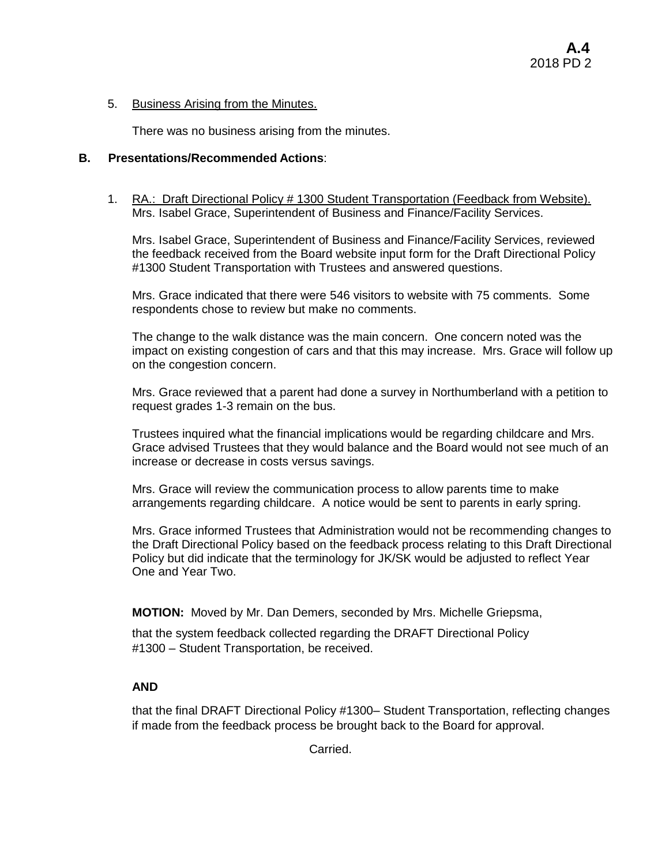# 5. Business Arising from the Minutes.

There was no business arising from the minutes.

# **B. Presentations/Recommended Actions**:

1. RA.: Draft Directional Policy # 1300 Student Transportation (Feedback from Website). Mrs. Isabel Grace, Superintendent of Business and Finance/Facility Services.

Mrs. Isabel Grace, Superintendent of Business and Finance/Facility Services, reviewed the feedback received from the Board website input form for the Draft Directional Policy #1300 Student Transportation with Trustees and answered questions.

Mrs. Grace indicated that there were 546 visitors to website with 75 comments. Some respondents chose to review but make no comments.

The change to the walk distance was the main concern. One concern noted was the impact on existing congestion of cars and that this may increase. Mrs. Grace will follow up on the congestion concern.

Mrs. Grace reviewed that a parent had done a survey in Northumberland with a petition to request grades 1-3 remain on the bus.

Trustees inquired what the financial implications would be regarding childcare and Mrs. Grace advised Trustees that they would balance and the Board would not see much of an increase or decrease in costs versus savings.

Mrs. Grace will review the communication process to allow parents time to make arrangements regarding childcare. A notice would be sent to parents in early spring.

Mrs. Grace informed Trustees that Administration would not be recommending changes to the Draft Directional Policy based on the feedback process relating to this Draft Directional Policy but did indicate that the terminology for JK/SK would be adjusted to reflect Year One and Year Two.

**MOTION:** Moved by Mr. Dan Demers, seconded by Mrs. Michelle Griepsma,

that the system feedback collected regarding the DRAFT Directional Policy #1300 – Student Transportation, be received.

# **AND**

that the final DRAFT Directional Policy #1300– Student Transportation, reflecting changes if made from the feedback process be brought back to the Board for approval.

Carried.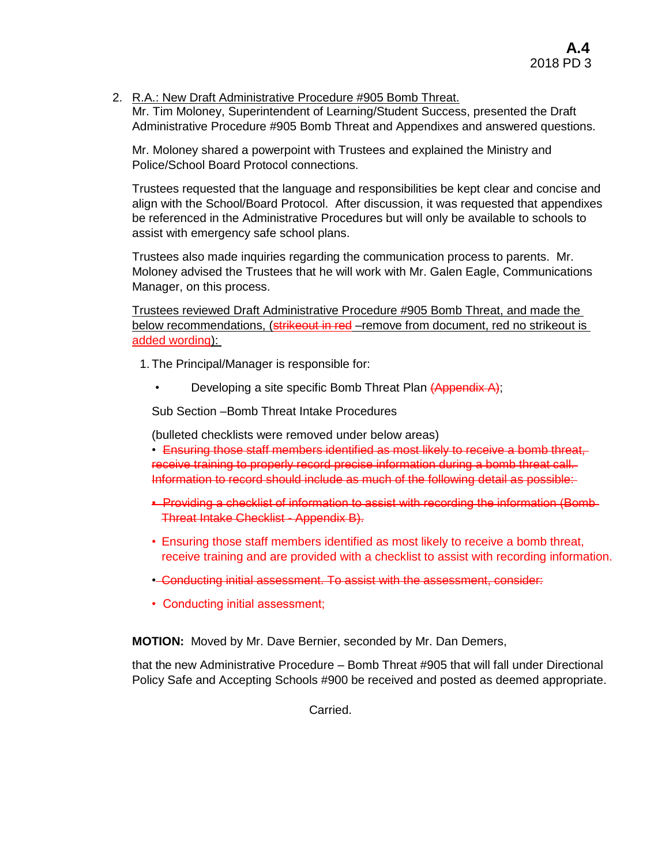# 2. R.A.: New Draft Administrative Procedure #905 Bomb Threat.

Mr. Tim Moloney, Superintendent of Learning/Student Success, presented the Draft Administrative Procedure #905 Bomb Threat and Appendixes and answered questions.

Mr. Moloney shared a powerpoint with Trustees and explained the Ministry and Police/School Board Protocol connections.

Trustees requested that the language and responsibilities be kept clear and concise and align with the School/Board Protocol. After discussion, it was requested that appendixes be referenced in the Administrative Procedures but will only be available to schools to assist with emergency safe school plans.

Trustees also made inquiries regarding the communication process to parents. Mr. Moloney advised the Trustees that he will work with Mr. Galen Eagle, Communications Manager, on this process.

Trustees reviewed Draft Administrative Procedure #905 Bomb Threat, and made the below recommendations, (strikeout in red –remove from document, red no strikeout is added wording):

1. The Principal/Manager is responsible for:

• Developing a site specific Bomb Threat Plan (Appendix A);

Sub Section –Bomb Threat Intake Procedures

(bulleted checklists were removed under below areas)

• Ensuring those staff members identified as most likely to receive a bomb threat, receive training to properly record precise information during a bomb threat call. Information to record should include as much of the following detail as possible:

- Providing a checklist of information to assist with recording the information (Bomb Threat Intake Checklist - Appendix B).
- Ensuring those staff members identified as most likely to receive a bomb threat, receive training and are provided with a checklist to assist with recording information.
- Conducting initial assessment. To assist with the assessment, consider:
- Conducting initial assessment;

**MOTION:** Moved by Mr. Dave Bernier, seconded by Mr. Dan Demers,

that the new Administrative Procedure – Bomb Threat #905 that will fall under Directional Policy Safe and Accepting Schools #900 be received and posted as deemed appropriate.

Carried.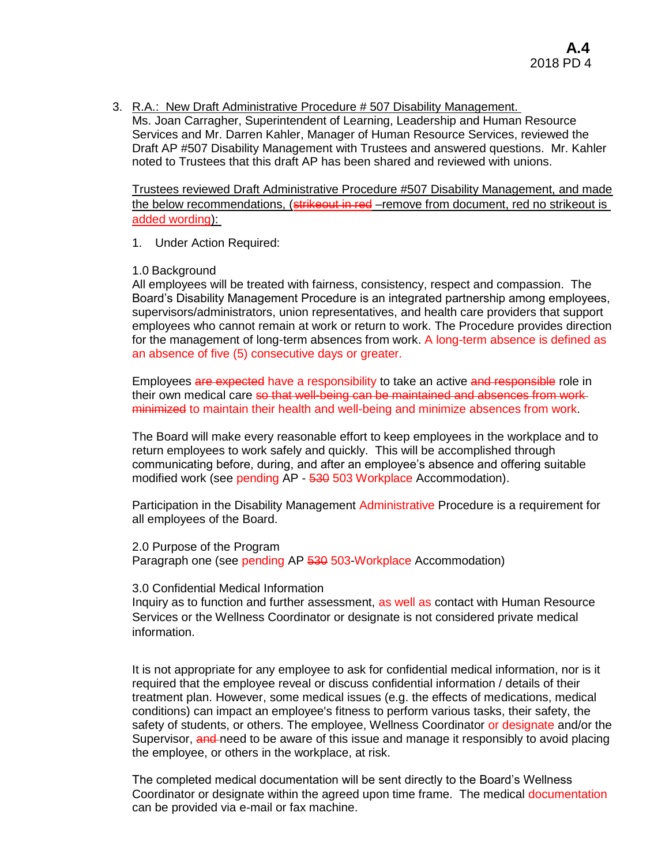3. R.A.: New Draft Administrative Procedure # 507 Disability Management. Ms. Joan Carragher, Superintendent of Learning, Leadership and Human Resource Services and Mr. Darren Kahler, Manager of Human Resource Services, reviewed the Draft AP #507 Disability Management with Trustees and answered questions. Mr. Kahler noted to Trustees that this draft AP has been shared and reviewed with unions.

Trustees reviewed Draft Administrative Procedure #507 Disability Management, and made the below recommendations, (strikeout in red –remove from document, red no strikeout is added wording):

1. Under Action Required:

#### 1.0 Background

All employees will be treated with fairness, consistency, respect and compassion. The Board's Disability Management Procedure is an integrated partnership among employees, supervisors/administrators, union representatives, and health care providers that support employees who cannot remain at work or return to work. The Procedure provides direction for the management of long-term absences from work. A long-term absence is defined as an absence of five (5) consecutive days or greater.

Employees are expected have a responsibility to take an active and responsible role in their own medical care so that well-being can be maintained and absences from workminimized to maintain their health and well-being and minimize absences from work.

The Board will make every reasonable effort to keep employees in the workplace and to return employees to work safely and quickly. This will be accomplished through communicating before, during, and after an employee's absence and offering suitable modified work (see pending AP - 530 503 Workplace Accommodation).

Participation in the Disability Management Administrative Procedure is a requirement for all employees of the Board.

2.0 Purpose of the Program Paragraph one (see pending AP 530 503-Workplace Accommodation)

#### 3.0 Confidential Medical Information

Inquiry as to function and further assessment, as well as contact with Human Resource Services or the Wellness Coordinator or designate is not considered private medical information.

It is not appropriate for any employee to ask for confidential medical information, nor is it required that the employee reveal or discuss confidential information / details of their treatment plan. However, some medical issues (e.g. the effects of medications, medical conditions) can impact an employee's fitness to perform various tasks, their safety, the safety of students, or others. The employee, Wellness Coordinator or designate and/or the Supervisor, and need to be aware of this issue and manage it responsibly to avoid placing the employee, or others in the workplace, at risk.

The completed medical documentation will be sent directly to the Board's Wellness Coordinator or designate within the agreed upon time frame. The medical documentation can be provided via e-mail or fax machine.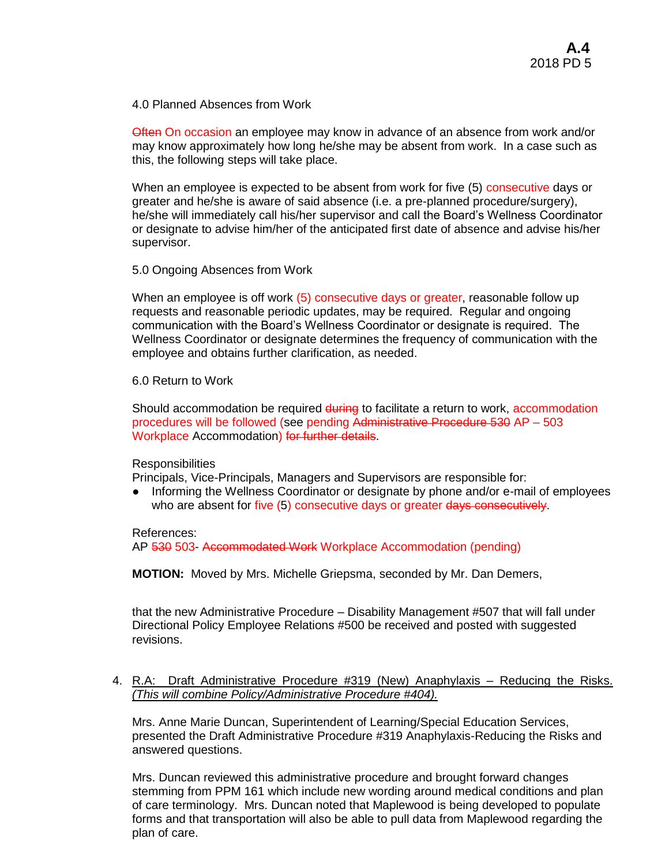4.0 Planned Absences from Work

Often On occasion an employee may know in advance of an absence from work and/or may know approximately how long he/she may be absent from work. In a case such as this, the following steps will take place.

When an employee is expected to be absent from work for five (5) consecutive days or greater and he/she is aware of said absence (i.e. a pre-planned procedure/surgery), he/she will immediately call his/her supervisor and call the Board's Wellness Coordinator or designate to advise him/her of the anticipated first date of absence and advise his/her supervisor.

#### 5.0 Ongoing Absences from Work

When an employee is off work (5) consecutive days or greater, reasonable follow up requests and reasonable periodic updates, may be required. Regular and ongoing communication with the Board's Wellness Coordinator or designate is required. The Wellness Coordinator or designate determines the frequency of communication with the employee and obtains further clarification, as needed.

6.0 Return to Work

Should accommodation be required during to facilitate a return to work, accommodation procedures will be followed (see pending Administrative Procedure 530 AP – 503 Workplace Accommodation) for further details.

**Responsibilities** 

Principals, Vice-Principals, Managers and Supervisors are responsible for:

● Informing the Wellness Coordinator or designate by phone and/or e-mail of employees who are absent for five (5) consecutive days or greater days consecutively.

References:

AP 530 503- Accommodated Work Workplace Accommodation (pending)

**MOTION:** Moved by Mrs. Michelle Griepsma, seconded by Mr. Dan Demers,

that the new Administrative Procedure – Disability Management #507 that will fall under Directional Policy Employee Relations #500 be received and posted with suggested revisions.

#### 4. R.A: Draft Administrative Procedure #319 (New) Anaphylaxis – Reducing the Risks. *(This will combine Policy/Administrative Procedure #404).*

Mrs. Anne Marie Duncan, Superintendent of Learning/Special Education Services, presented the Draft Administrative Procedure #319 Anaphylaxis-Reducing the Risks and answered questions.

Mrs. Duncan reviewed this administrative procedure and brought forward changes stemming from PPM 161 which include new wording around medical conditions and plan of care terminology. Mrs. Duncan noted that Maplewood is being developed to populate forms and that transportation will also be able to pull data from Maplewood regarding the plan of care.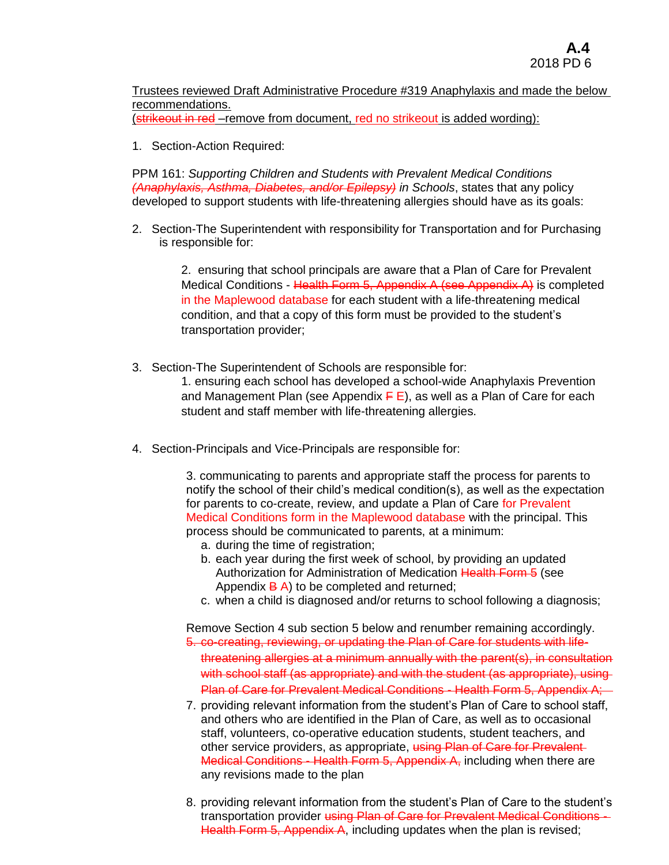Trustees reviewed Draft Administrative Procedure #319 Anaphylaxis and made the below recommendations.

(strikeout in red –remove from document, red no strikeout is added wording):

1. Section-Action Required:

PPM 161: *Supporting Children and Students with Prevalent Medical Conditions (Anaphylaxis, Asthma, Diabetes, and/or Epilepsy) in Schools*, states that any policy developed to support students with life-threatening allergies should have as its goals:

2. Section-The Superintendent with responsibility for Transportation and for Purchasing is responsible for:

> 2. ensuring that school principals are aware that a Plan of Care for Prevalent Medical Conditions - Health Form 5, Appendix A (see Appendix A) is completed in the Maplewood database for each student with a life-threatening medical condition, and that a copy of this form must be provided to the student's transportation provider;

3. Section-The Superintendent of Schools are responsible for:

1. ensuring each school has developed a school-wide Anaphylaxis Prevention and Management Plan (see Appendix  $\overline{F}E$ ), as well as a Plan of Care for each student and staff member with life-threatening allergies.

4. Section-Principals and Vice-Principals are responsible for:

3. communicating to parents and appropriate staff the process for parents to notify the school of their child's medical condition(s), as well as the expectation for parents to co-create, review, and update a Plan of Care for Prevalent Medical Conditions form in the Maplewood database with the principal. This process should be communicated to parents, at a minimum:

- a. during the time of registration;
- b. each year during the first week of school, by providing an updated Authorization for Administration of Medication Health Form 5 (see Appendix  $\overline{B}$  A) to be completed and returned;
- c. when a child is diagnosed and/or returns to school following a diagnosis;

Remove Section 4 sub section 5 below and renumber remaining accordingly. 5. co-creating, reviewing, or updating the Plan of Care for students with lifethreatening allergies at a minimum annually with the parent(s), in consultation with school staff (as appropriate) and with the student (as appropriate), using Plan of Care for Prevalent Medical Conditions - Health Form 5, Appendix A;

- 7. providing relevant information from the student's Plan of Care to school staff, and others who are identified in the Plan of Care, as well as to occasional staff, volunteers, co-operative education students, student teachers, and other service providers, as appropriate, using Plan of Care for Prevalent-Medical Conditions - Health Form 5, Appendix A, including when there are any revisions made to the plan
- 8. providing relevant information from the student's Plan of Care to the student's transportation provider using Plan of Care for Prevalent Medical Conditions -Health Form 5, Appendix A, including updates when the plan is revised;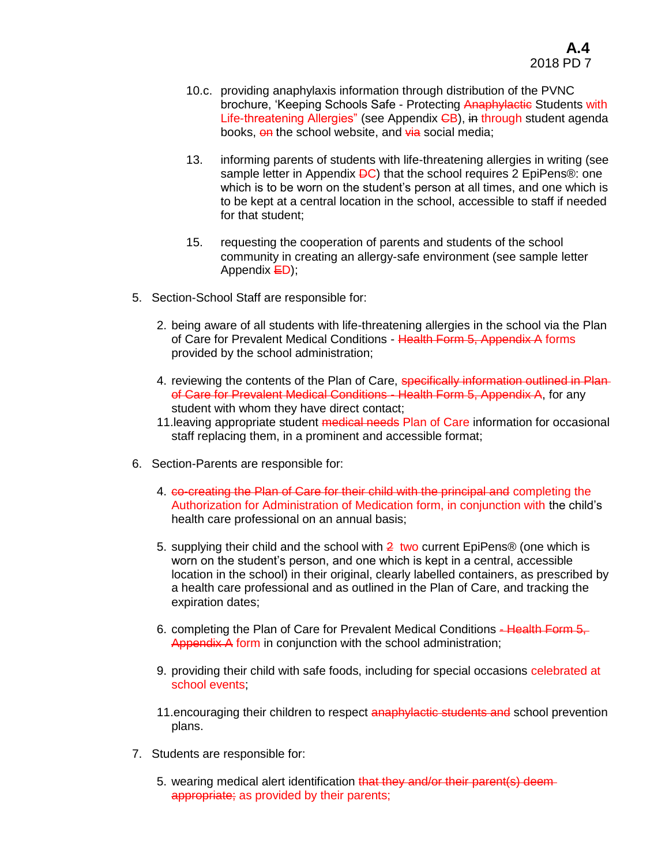- 10.c. providing anaphylaxis information through distribution of the PVNC brochure, 'Keeping Schools Safe - Protecting Anaphylactic Students with Life-threatening Allergies" (see Appendix GB), in through student agenda books, on the school website, and via social media;
- 13. informing parents of students with life-threatening allergies in writing (see sample letter in Appendix **DC**) that the school requires 2 EpiPens<sup>®</sup>: one which is to be worn on the student's person at all times, and one which is to be kept at a central location in the school, accessible to staff if needed for that student;
- 15. requesting the cooperation of parents and students of the school community in creating an allergy-safe environment (see sample letter Appendix **ED**);
- 5. Section-School Staff are responsible for:
	- 2. being aware of all students with life-threatening allergies in the school via the Plan of Care for Prevalent Medical Conditions - Health Form 5, Appendix A forms provided by the school administration;
	- 4. reviewing the contents of the Plan of Care, specifically information outlined in Planof Care for Prevalent Medical Conditions - Health Form 5, Appendix A, for any student with whom they have direct contact;
	- 11. leaving appropriate student medical needs Plan of Care information for occasional staff replacing them, in a prominent and accessible format;
- 6. Section-Parents are responsible for:
	- 4. co-creating the Plan of Care for their child with the principal and completing the Authorization for Administration of Medication form, in conjunction with the child's health care professional on an annual basis;
	- 5. supplying their child and the school with 2 two current EpiPens® (one which is worn on the student's person, and one which is kept in a central, accessible location in the school) in their original, clearly labelled containers, as prescribed by a health care professional and as outlined in the Plan of Care, and tracking the expiration dates;
	- 6. completing the Plan of Care for Prevalent Medical Conditions Health Form 5, Appendix A form in conjunction with the school administration;
	- 9. providing their child with safe foods, including for special occasions celebrated at school events;
	- 11.encouraging their children to respect anaphylactic students and school prevention plans.
- 7. Students are responsible for:
	- 5. wearing medical alert identification that they and/or their parent(s) deemappropriate; as provided by their parents;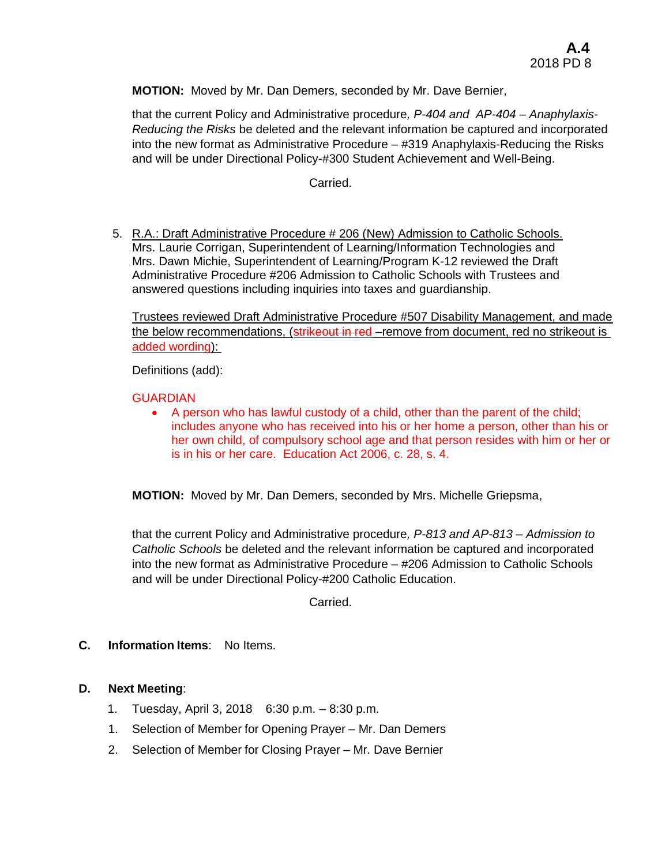**MOTION:** Moved by Mr. Dan Demers, seconded by Mr. Dave Bernier,

that the current Policy and Administrative procedure*, P-404 and AP-404 – Anaphylaxis-Reducing the Risks* be deleted and the relevant information be captured and incorporated into the new format as Administrative Procedure – #319 Anaphylaxis-Reducing the Risks and will be under Directional Policy-#300 Student Achievement and Well-Being.

Carried.

5. R.A.: Draft Administrative Procedure # 206 (New) Admission to Catholic Schools. Mrs. Laurie Corrigan, Superintendent of Learning/Information Technologies and Mrs. Dawn Michie, Superintendent of Learning/Program K-12 reviewed the Draft Administrative Procedure #206 Admission to Catholic Schools with Trustees and answered questions including inquiries into taxes and guardianship.

Trustees reviewed Draft Administrative Procedure #507 Disability Management, and made the below recommendations, (**strikeout in red** –remove from document, red no strikeout is added wording):

Definitions (add):

#### **GUARDIAN**

 A person who has lawful custody of a child, other than the parent of the child; includes anyone who has received into his or her home a person, other than his or her own child, of compulsory school age and that person resides with him or her or is in his or her care. Education Act 2006, c. 28, s. 4.

**MOTION:** Moved by Mr. Dan Demers, seconded by Mrs. Michelle Griepsma,

that the current Policy and Administrative procedure*, P-813 and AP-813 – Admission to Catholic Schools* be deleted and the relevant information be captured and incorporated into the new format as Administrative Procedure – #206 Admission to Catholic Schools and will be under Directional Policy-#200 Catholic Education.

Carried.

**C. Information Items**: No Items.

# **D. Next Meeting**:

- 1. Tuesday, April 3, 2018 6:30 p.m. 8:30 p.m.
- 1. Selection of Member for Opening Prayer Mr. Dan Demers
- 2. Selection of Member for Closing Prayer Mr. Dave Bernier